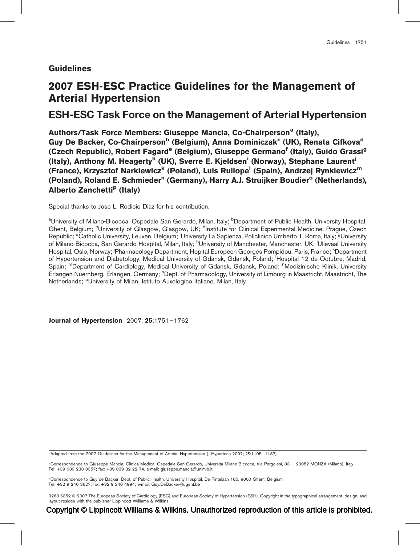## Guidelines

# 2007 ESH-ESC Practice Guidelines for the Management of Arterial Hypertension

# ESH-ESC Task Force on the Management of Arterial Hypertension

Authors/Task Force Members: Giuseppe Mancia, Co-Chairperson<sup>a</sup> (Italy), Guy De Backer, Co-Chairperson<sup>b</sup> (Belgium), Anna Dominiczak<sup>c</sup> (UK), Renata Cifkova<sup>d</sup> (Czech Republic), Robert Fagard<sup>e</sup> (Belgium), Giuseppe Germano<sup>f</sup> (Italy), Guido Grassi<sup>g</sup> (Italy), Anthony M. Heagerty<sup>h</sup> (UK), Sverre E. Kjeldsen<sup>i</sup> (Norway), Stephane Laurent<sup>i</sup> (France), Krzysztof Narkiewicz<sup>k</sup> (Poland), Luis Ruilope<sup>l</sup> (Spain), Andrzej Rynkiewicz<sup>m</sup> (Poland), Roland E. Schmieder<sup>n</sup> (Germany), Harry A.J. Struijker Boudier<sup>o</sup> (Netherlands), Alberto Zanchetti<sup>p</sup> (Italy)

Special thanks to Jose L. Rodicio Diaz for his contribution.

<sup>a</sup>University of Milano-Bicocca, Ospedale San Gerardo, Milan, Italy; <sup>b</sup>Department of Public Health, University Hospital, Ghent, Belgium; <sup>c</sup>University of Glasgow, Glasgow, UK; <sup>d</sup>Institute for Clinical Experimental Medicine, Prague, Czech Republic; <sup>e</sup>Catholic University, Leuven, Belgium; <sup>f</sup>University La Sapienza, Policlinico Umberto 1, Roma, Italy; <sup>g</sup>University of Milano-Bicocca, San Gerardo Hospital, Milan, Italy; <sup>h</sup>University of Manchester, Manchester, UK; <sup>i</sup>Ullevaal University Hospital, Oslo, Norway; <sup>j</sup>Pharmacology Department, Hopital Europeen Georges Pompidou, Paris, France; <sup>k</sup>Department of Hypertension and Diabetology, Medical University of Gdansk, Gdansk, Poland; Hospital 12 de Octubre, Madrid, Spain; "Department of Cardiology, Medical University of Gdansk, Gdansk, Poland; "Medizinische Klinik, University Erlangen Nuernberg, Erlangen, Germany; °Dept. of Pharmacology, University of Limburg in Maastricht, Maastricht, The Netherlands; <sup>p</sup>University of Milan, Istituto Auxologico Italiano, Milan, Italy

Journal of Hypertension 2007, 25:1751–1762

\*Adapted from the 2007 Guidelines for the Management of Arterial Hypertension (J Hypertens 2007; 25:1105–1187).

Correspondence to Giuseppe Mancia, Clinica Medica, Ospedale San Gerardo, Universita` Milano-Bicocca, Via Pergolesi, 33 – 20052 MONZA (Milano), Italy Tel: +39 039 233 3357; fax: +39 039 32 22 74, e-mail: [giuseppe.mancia@unimib.it](mailto:giuseppe.mancia@unimib.it)

Correspondence to Guy de Backer, Dept. of Public Health, University Hospital, De Pintelaan 185, 9000 Ghent, Belgium Tel: +32 9 240 3627; fax: +32 9 240 4994; e-mail: [Guy.DeBacker@ugent.be](mailto:Guy.DeBacker@ugent.be)

0263-6352 @ 2007 The European Society of Cardiology (ESC) and European Society of Hypertension (ESH). Copyright in the typographical arrangement, design, and layout resides with the publisher Lippincott Williams & Wilkins.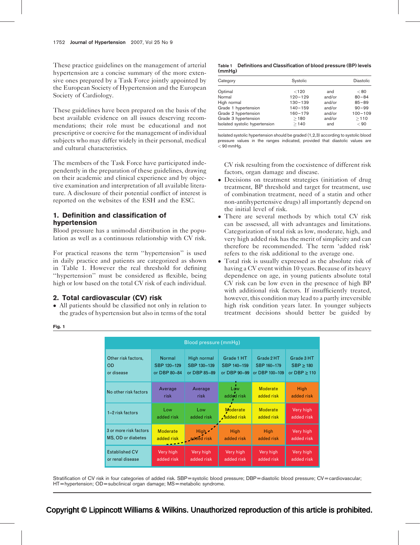<span id="page-1-0"></span>These practice guidelines on the management of arterial hypertension are a concise summary of the more extensive ones prepared by a Task Force jointly appointed by the European Society of Hypertension and the European Society of Cardiology.

These guidelines have been prepared on the basis of the best available evidence on all issues deserving recommendations; their role must be educational and not prescriptive or coercive for the management of individual subjects who may differ widely in their personal, medical and cultural characteristics.

The members of the Task Force have participated independently in the preparation of these guidelines, drawing on their academic and clinical experience and by objective examination and interpretation of all available literature. A disclosure of their potential conflict of interest is reported on the websites of the ESH and the ESC.

### 1. Definition and classification of hypertension

Blood pressure has a unimodal distribution in the population as well as a continuous relationship with CV risk.

For practical reasons the term ''hypertension'' is used in daily practice and patients are categorized as shown in Table 1. However the real threshold for defining ''hypertension'' must be considered as flexible, being high or low based on the total CV risk of each individual.

### 2. Total cardiovascular (CV) risk

• All patients should be classified not only in relation to the grades of hypertension but also in terms of the total

| Table 1 | Definitions and Classification of blood pressure (BP) levels |
|---------|--------------------------------------------------------------|
| (mmHg)  |                                                              |

| Category                       | Systolic    |        | <b>Diastolic</b> |
|--------------------------------|-------------|--------|------------------|
| Optimal                        | < 120       | and    | < 80             |
| Normal                         | $120 - 129$ | and/or | $80 - 84$        |
| High normal                    | $130 - 139$ | and/or | $85 - 89$        |
| Grade 1 hypertension           | $140 - 159$ | and/or | $90 - 99$        |
| Grade 2 hypertension           | $160 - 179$ | and/or | $100 - 109$      |
| Grade 3 hypertension           | >180        | and/or | >110             |
| Isolated systolic hypertension | >140        | and    | < 90             |

Isolated systolic hypertension should be graded (1,2,3) according to systolic blood pressure values in the ranges indicated, provided that diastolic values are  $<$  90 mmH $a$ .

CV risk resulting from the coexistence of different risk factors, organ damage and disease.

- Decisions on treatment strategies (initiation of drug treatment, BP threshold and target for treatment, use of combination treatment, need of a statin and other non-antihypertensive drugs) all importantly depend on the initial level of risk.
- There are several methods by which total CV risk can be assessed, all with advantages and limitations. Categorization of total risk as low, moderate, high, and very high added risk has the merit of simplicity and can therefore be recommended. The term 'added risk' refers to the risk additional to the average one.
- Total risk is usually expressed as the absolute risk of having a CV event within 10 years. Because of its heavy dependence on age, in young patients absolute total CV risk can be low even in the presence of high BP with additional risk factors. If insufficiently treated, however, this condition may lead to a partly irreversible high risk condition years later. In younger subjects treatment decisions should better be guided by

| Blood pressure (mmHq)  |                 |              |                 |                 |                  |
|------------------------|-----------------|--------------|-----------------|-----------------|------------------|
| Other risk factors,    | Normal          | High normal  | Grade 1 HT      | Grade 2 HT      | Grade 3 HT       |
| <b>OD</b>              | SBP 120-129     | SBP 130-139  | SBP 140-159     | SBP 160-179     | $SBP \ge 180$    |
| or disease             | or DBP 80-84    | or DBP 85-89 | or DBP 90-99    | or DBP 100-109  | or $DBP \ge 110$ |
| No other risk factors  | Average         | Average      | Law             | <b>Moderate</b> | High             |
|                        | risk            | risk         | added risk      | added risk      | added risk       |
| 1-2 risk factors       | Low             | Low          | <b>Moderate</b> | <b>Moderate</b> | Very high        |
|                        | added risk      | added risk   | added risk      | added risk      | added risk       |
| 3 or more risk factors | <b>Moderate</b> | High.        | High            | <b>High</b>     | Very high        |
| MS, OD or diabetes     | added risk      | added risk   | added risk      | added risk      | added risk       |
| <b>Established CV</b>  | Very high       | Very high    | Very high       | Very high       | Very high        |
| or renal disease       | added risk      | added risk   | added risk      | added risk      | added risk       |

Stratification of CV risk in four categories of added risk. SBP=systolic blood pressure; DBP=diastolic blood pressure; CV=cardiovascular; HT=hypertension; OD=subclinical organ damage; MS=metabolic syndrome.

### Fig. 1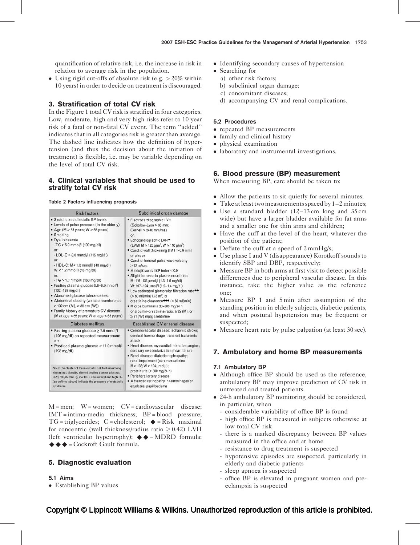quantification of relative risk, i.e. the increase in risk in relation to average risk in the population.

• Using rigid cut-offs of absolute risk (e.g.  $>20\%$  within 10 years) in order to decide on treatment is discouraged.

### 3. Stratification of total CV risk

In the [Figure 1](#page-1-0) total CV risk is stratified in four categories. Low, moderate, high and very high risks refer to 10 year risk of a fatal or non-fatal CV event. The term ''added'' indicates that in all categories risk is greater than average. The dashed line indicates how the definition of hypertension (and thus the decision about the initiation of treatment) is flexible, i.e. may be variable depending on the level of total CV risk.

### 4. Clinical variables that should be used to stratify total CV risk

#### Table 2 Factors influencing prognosis

| <b>Risk factors</b>                                                                                                                                                                                                                                                                                                                                                                                                                                                                                                                                                                                                                                                          | Subclinical organ damage                                                                                                                                                                                                                                                                                                                                                                                                                                                                                                                                                                                                                                                                                                                  |
|------------------------------------------------------------------------------------------------------------------------------------------------------------------------------------------------------------------------------------------------------------------------------------------------------------------------------------------------------------------------------------------------------------------------------------------------------------------------------------------------------------------------------------------------------------------------------------------------------------------------------------------------------------------------------|-------------------------------------------------------------------------------------------------------------------------------------------------------------------------------------------------------------------------------------------------------------------------------------------------------------------------------------------------------------------------------------------------------------------------------------------------------------------------------------------------------------------------------------------------------------------------------------------------------------------------------------------------------------------------------------------------------------------------------------------|
| Systolic and diastolic BP levels<br>• Levels of pulse pressure (in the elderly)<br>$\blacktriangle$ Age (M > 55 years; W > 65 years)<br>• Smoking<br>· Dyslipidaemia<br>$-TC > 5.0$ mmol/l (190 mg/dl)<br>or:<br>$-LDL-C > 3.0$ mmol/l (115 mg/dl)<br>or:<br>- HDL-C: M< 1.0 mmol/l (40 mg/dl)<br>$W < 1.2$ mmol/l (46 mg/dl)<br>or:<br>$-TS > 1.7$ mmol/l (150 mg/dl)<br>· Fasting plasma glucose 5.6-6.9 mmol/l<br>$(102 - 125 \text{ mg/dl})$<br>Abnormal glucose tolerance test<br>Abdominal obesity (waist circumference<br>$>$ 102 cm (M), $>$ 88 cm (W))<br><b>Example 1</b> Family history of premature CV disease<br>(M at age $<$ 55 years; W at age $<$ 65 years) | ■ Electrocardiographic LVH<br>(Sokolow-Lyon > 38 mm;<br>Cornell > 2440 mm/ms)<br>or:<br>■ Echocardiographic LVH <sup>+</sup><br>(LVMI M ≥ 125 g/m <sup>2</sup> , W ≥ 110 g/m <sup>2</sup> )<br>" Carotid wall thickening (IMT > 0.9 mm)<br>or plaque<br>" Carotid-femoral pulse wave velocity<br>$> 12$ m/sec<br>Ankle/Brachial BP index < 0.9<br>• Slight increase in plasma creatinine:<br>M: 115-133 µmol/l (1.3-1.5 mg/dl)<br>W: 107-124 µmol/l (1.2-1.4 mg/dl)<br>" Low estimated glomerular filtration rate <sup>++</sup><br>$(< 60$ ml/min/1.73 m <sup>2</sup> ) or<br>creatinine clearance*** (< 60 ml/min)<br>Microalbuminuria 30-300 mg/24 h<br>or albumin-creatinine ratio: $\geq 22$ (M); or<br>$\geq$ 31 (W) mg/g creatinine |
| <b>Diabetes mellitus</b>                                                                                                                                                                                                                                                                                                                                                                                                                                                                                                                                                                                                                                                     | Established CV or renal disease                                                                                                                                                                                                                                                                                                                                                                                                                                                                                                                                                                                                                                                                                                           |
| ■ Fasting plasma glucose $\geq$ 7.0 mmol/l<br>(126 mg/dl) on repeated measurement<br>or:<br>Postload plasma glucose > 11.0 mmol/l<br>$(198 \text{ mg/dl})$                                                                                                                                                                                                                                                                                                                                                                                                                                                                                                                   | Cerebrovascular disease: ischaemic stroke;<br>cerebral haemorrhage; transient ischaemic<br>attack<br>Heart disease: myocardial infarction; angina;<br>coronary revascularization; heart failure<br>Renal disease: diabetic nephropathy;<br>renal impairment (serum creatinine                                                                                                                                                                                                                                                                                                                                                                                                                                                             |
| Note: the cluster of three out of 5 risk factors among<br>abdominal, obesity, altered tasting plasma glucose,<br>BP ≥ 130/85 mmHg, low HDL cholesterol and high TG<br>(as defined above) indicats the presence of metabolic<br>syndrome.                                                                                                                                                                                                                                                                                                                                                                                                                                     | $M > 133; W > 124$ µmol/l);<br>proteinuria (> 300 mg/24 h)<br>Peripheral artery disease<br>Advanced retinopathy: haemorrhages or<br>exudates, papilloedema                                                                                                                                                                                                                                                                                                                                                                                                                                                                                                                                                                                |

 $M =$ men;  $W =$ women;  $CV =$ cardiovascular disease; IMT = intima-media thickness; BP = blood pressure;  $TG = triglycerides; C = cholesterol; \blacklozenge = Risk maximal$ for concentric (wall thickness/radius ratio  $\geq 0.42$ ) LVH (left ventricular hypertrophy);  $\blacklozenge \blacklozenge = \text{MDRD}$  formula;  $\blacklozenge \blacklozenge$  = Cockroft Gault formula.

### 5. Diagnostic evaluation

#### 5.1 Aims

• Establishing BP values

- Identifying secondary causes of hypertension
- Searching for
	- a) other risk factors;
	- b) subclinical organ damage;
	- c) concomitant diseases;
	- d) accompanying CV and renal complications.

### 5.2 Procedures

- repeated BP measurements
- family and clinical history
- physical examination
- laboratory and instrumental investigations.

### 6. Blood pressure (BP) measurement

When measuring BP, care should be taken to:

- Allow the patients to sit quietly for several minutes;
- Take at least two measurements spaced by 1-2 minutes;
- Use a standard bladder (12–13 cm long and 35 cm wide) but have a larger bladder available for fat arms and a smaller one for thin arms and children;
- Have the cuff at the level of the heart, whatever the position of the patient;
- Deflate the cuff at a speed of 2 mmHg/s;
- Use phase I and V (disappearance) Korotkoff sounds to identify SBP and DBP, respectively;
- Measure BP in both arms at first visit to detect possible differences due to peripheral vascular disease. In this instance, take the higher value as the reference one;
- Measure BP 1 and 5 min after assumption of the standing position in elderly subjects, diabetic patients, and when postural hypotension may be frequent or suspected;
- Measure heart rate by pulse palpation (at least 30 sec).

### 7. Ambulatory and home BP measurements

#### 7.1 Ambulatory BP

- Although office BP should be used as the reference, ambulatory BP may improve prediction of CV risk in untreated and treated patients.
- 24-h ambulatory BP monitoring should be considered, in particular, when
	- considerable variability of office BP is found
	- high office BP is measured in subjects otherwise at low total CV risk
	- there is a marked discrepancy between BP values measured in the office and at home
	- resistance to drug treatment is suspected
	- hypotensive episodes are suspected, particularly in elderly and diabetic patients
	- sleep apnoea is suspected
	- office BP is elevated in pregnant women and preeclampsia is suspected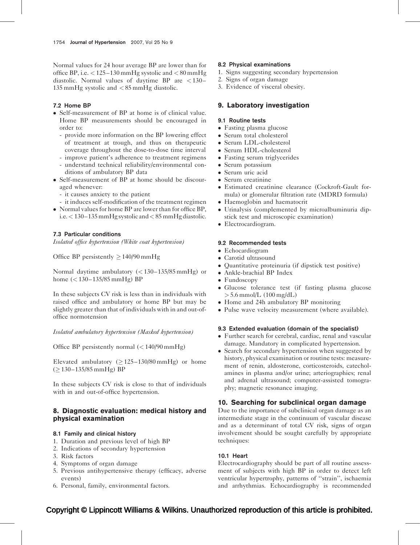Normal values for 24 hour average BP are lower than for office BP, i.e.  $< 125-130$  mmHg systolic and  $< 80$  mmHg diastolic. Normal values of daytime BP are < 130– 135 mmHg systolic and < 85 mmHg diastolic.

### 7.2 Home BP

- Self-measurement of BP at home is of clinical value. Home BP measurements should be encouraged in order to:
	- provide more information on the BP lowering effect of treatment at trough, and thus on therapeutic coverage throughout the dose-to-dose time interval
	- improve patient's adherence to treatment regimens
	- understand technical reliability/environmental conditions of ambulatory BP data
- Self-measurement of BP at home should be discouraged whenever:
	- it causes anxiety to the patient
	- it induces self-modification of the treatment regimen
- Normal values for home BP are lower than for office BP, i.e.< 130–135 mmHg systolicand< 85 mmHg diastolic.

#### 7.3 Particular conditions

Isolated office hypertension (White coat hypertension)

Office BP persistently  $\geq 140/90$  mmHg

Normal daytime ambulatory (< 130–135/85 mmHg) or home (< 130–135/85 mmHg) BP

In these subjects CV risk is less than in individuals with raised office and ambulatory or home BP but may be slightly greater than that of individuals with in and out-ofoffice normotension

Isolated ambulatory hypertension (Masked hypertension)

Office BP persistently normal (< 140/90 mmHg)

Elevated ambulatory  $( \geq 125 - 130/80 \text{ mmHg})$  or home  $($ >130–135/85 mmHg) BP

In these subjects CV risk is close to that of individuals with in and out-of-office hypertension.

### 8. Diagnostic evaluation: medical history and physical examination

#### 8.1 Family and clinical history

- 1. Duration and previous level of high BP
- 2. Indications of secondary hypertension
- 3. Risk factors
- 4. Symptoms of organ damage
- 5. Previous antihypertensive therapy (efficacy, adverse events)
- 6. Personal, family, environmental factors.

#### 8.2 Physical examinations

- 1. Signs suggesting secondary hypertension
- 2. Signs of organ damage
- 3. Evidence of visceral obesity.

### 9. Laboratory investigation

### 9.1 Routine tests

- Fasting plasma glucose
- Serum total cholesterol
- Serum LDL-cholesterol
- Serum HDL-cholesterol
- Fasting serum triglycerides
- Serum potassium
- Serum uric acid
- Serum creatinine
- Estimated creatinine clearance (Cockroft-Gault formula) or glomerular filtration rate (MDRD formula)
- Haemoglobin and haematocrit
- Urinalysis (complemented by microalbuminuria dipstick test and microscopic examination)
- Electrocardiogram.

#### 9.2 Recommended tests

- Echocardiogram
- Carotid ultrasound
- Quantitative proteinuria (if dipstick test positive)
- Ankle-brachial BP Index
- Fundoscopy
- Glucose tolerance test (if fasting plasma glucose  $>$  5.6 mmol/L (100 mg/dL)
- Home and 24h ambulatory BP monitoring
- Pulse wave velocity measurement (where available).

#### 9.3 Extended evaluation (domain of the specialist)

- Further search for cerebral, cardiac, renal and vascular damage. Mandatory in complicated hypertension.
- Search for secondary hypertension when suggested by history, physical examination or routine tests: measurement of renin, aldosterone, corticosteroids, catecholamines in plasma and/or urine; arteriographies; renal and adrenal ultrasound; computer-assisted tomography; magnetic resonance imaging.

### 10. Searching for subclinical organ damage

Due to the importance of subclinical organ damage as an intermediate stage in the continuum of vascular disease and as a determinant of total CV risk, signs of organ involvement should be sought carefully by appropriate techniques:

#### 10.1 Heart

Electrocardiography should be part of all routine assessment of subjects with high BP in order to detect left ventricular hypertrophy, patterns of ''strain'', ischaemia and arrhythmias. Echocardiography is recommended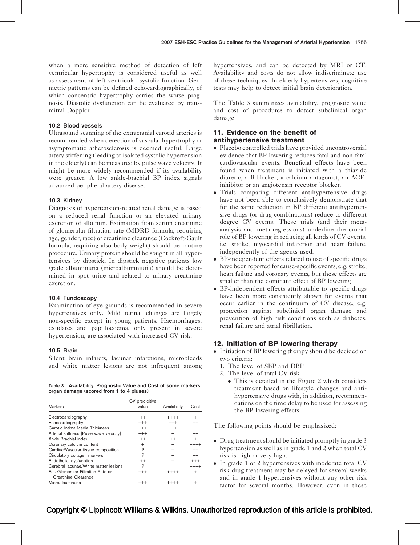when a more sensitive method of detection of left ventricular hypertrophy is considered useful as well as assessment of left ventricular systolic function. Geometric patterns can be defined echocardiographically, of which concentric hypertrophy carries the worse prognosis. Diastolic dysfunction can be evaluated by transmitral Doppler.

#### 10.2 Blood vessels

Ultrasound scanning of the extracranial carotid arteries is recommended when detection of vascular hypertrophy or asymptomatic atherosclerosis is deemed useful. Large artery stiffening (leading to isolated systolic hypertension in the elderly) can be measured by pulse wave velocity. It might be more widely recommended if its availability were greater. A low ankle-brachial BP index signals advanced peripheral artery disease.

#### 10.3 Kidney

Diagnosis of hypertension-related renal damage is based on a reduced renal function or an elevated urinary excretion of albumin. Estimation from serum creatinine of glomerular filtration rate (MDRD formula, requiring age, gender, race) or creatinine clearance (Cockroft-Gault formula, requiring also body weight) should be routine procedure. Urinary protein should be sought in all hypertensives by dipstick. In dipstick negative patients low grade albuminuria (microalbumniuria) should be determined in spot urine and related to urinary creatinine excretion.

#### 10.4 Fundoscopy

Examination of eye grounds is recommended in severe hypertensives only. Mild retinal changes are largely non-specific except in young patients. Haemorrhages, exudates and papilloedema, only present in severe hypertension, are associated with increased CV risk.

#### 10.5 Brain

Silent brain infarcts, lacunar infarctions, microbleeds and white matter lesions are not infrequent among

|                                          |  | Table 3 Availability, Prognostic Value and Cost of some markers |  |
|------------------------------------------|--|-----------------------------------------------------------------|--|
| organ damage (scored from 1 to 4 pluses) |  |                                                                 |  |

| Markers                                                    | CV predicitive<br>value | Availability | Cost      |
|------------------------------------------------------------|-------------------------|--------------|-----------|
| Electrocardiography                                        | $^{++}$                 | $+++++$      | $^{+}$    |
| Echocardiography                                           | $^{+++}$                | $^{+++}$     | $^{++}$   |
| Carotid Intima-Media Thickness                             | $^{+++}$                | $^{+++}$     | $^{++}$   |
| Arterial stiffness [Pulse wave velocity]                   | $^{+++}$                | $\ddot{}$    | $^{++}$   |
| Ankle-Brachial index                                       | $^{++}$                 | $^{++}$      | $^{+}$    |
| Coronary calcium content                                   | $\ddot{}$               | $^{+}$       | $+++++$   |
| Cardiac/Vascular tissue composition                        | ?                       | $^{+}$       | $^{++}$   |
| Circulatory collagen markers                               | ?                       | $\div$       | $^{++}$   |
| Endothelial dysfunction                                    | $^{++}$                 | $\ddot{}$    | $^{+++}$  |
| Cerebral lacunae/White matter lesions                      | ?                       |              | $+++++$   |
| Est. Glomerular Filtration Rate or<br>Creatinine Clearance | $^{+++}$                | $+++++$      | $\ddot{}$ |
| Microalbuminuria                                           |                         | $^{+++}$     |           |

hypertensives, and can be detected by MRI or CT. Availability and costs do not allow indiscriminate use of these techniques. In elderly hypertensives, cognitive tests may help to detect initial brain deterioration.

The Table 3 summarizes availability, prognostic value and cost of procedures to detect subclinical organ damage.

### 11. Evidence on the benefit of antihypertensive treatment

- Placebo controlled trials have provided uncontroversial evidence that BP lowering reduces fatal and non-fatal cardiovascular events. Beneficial effects have been found when treatment is initiated with a thiazide diuretic, a ß-blocker, a calcium antagonist, an ACEinhibitor or an angiotensin receptor blocker.
- Trials comparing different antihypertensive drugs have not been able to conclusively demonstrate that for the same reduction in BP different antihypertensive drugs (or drug combinations) reduce to different degree CV events. These trials (and their metaanalysis and meta-regressions) underline the crucial role of BP lowering in reducing all kinds of CV events, i.e. stroke, myocardial infarction and heart failure, independently of the agents used.
- BP-independent effects related to use of specific drugs have been reported for cause-specific events, e.g. stroke, heart failure and coronary events, but these effects are smaller than the dominant effect of BP lowering
- BP-independent effects attributable to specific drugs have been more consistently shown for events that occur earlier in the continuum of CV disease, e.g. protection against subclinical organ damage and prevention of high risk conditions such as diabetes, renal failure and atrial fibrillation.

### 12. Initiation of BP lowering therapy

- Initiation of BP lowering therapy should be decided on two criteria:
	- 1. The level of SBP and DBP
	- 2. The level of total CV risk
		- This is detailed in the [Figure 2](#page-5-0) which considers treatment based on lifestyle changes and antihypertensive drugs with, in addition, recommendations on the time delay to be used for assessing the BP lowering effects.

The following points should be emphasized:

- Drug treatment should be initiated promptly in grade 3 hypertension as well as in grade 1 and 2 when total CV risk is high or very high.
- In grade 1 or 2 hypertensives with moderate total CV risk drug treatment may be delayed for several weeks and in grade 1 hypertensives without any other risk factor for several months. However, even in these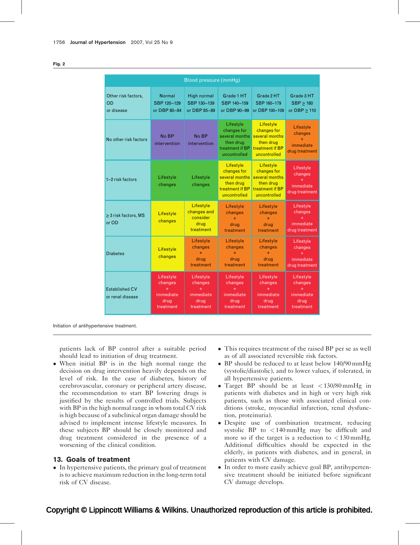| Blood pressure (mmHg)                     |                                                        |                                                           |                                                                                            |                                                                                            |                                                                    |  |
|-------------------------------------------|--------------------------------------------------------|-----------------------------------------------------------|--------------------------------------------------------------------------------------------|--------------------------------------------------------------------------------------------|--------------------------------------------------------------------|--|
| Other risk factors,<br>OD<br>or disease   | Normal<br>SBP 120-129<br>or DBP 80-84                  | High normal<br>SBP 130-139<br>or DBP 85-89                | Grade 1 HT<br>SBP 140-159<br>or DBP 90-99                                                  | Grade 2 HT<br>SBP 160-179<br>or DBP 100-109                                                | Grade 3 HT<br>$SBP \ge 180$<br>or $DBP \ge 110$                    |  |
| No other risk factors                     | $No$ <sub>BP</sub><br>intervention                     | $No$ <sub>BP</sub><br>intervention                        | Lifestyle<br>changes for<br>several months<br>then drug<br>treatment if BP<br>uncontrolled | Lifestyle<br>changes for<br>several months<br>then drug<br>treatment if BP<br>uncontrolled | Lifestyle<br>changes<br>$\ddotplus$<br>immediate<br>drug treatment |  |
| $1-2$ risk factors                        | Lifestyle<br>changes                                   | Lifestyle<br>changes                                      | Lifestyle<br>changes for<br>several months<br>then drug<br>treatment if BP<br>uncontrolled | Lifestyle<br>changes for<br>several months<br>then drug<br>treatment if BP<br>uncontrolled | Lifestyle<br>changes<br>immediate<br>drug treatment                |  |
| $\geq$ 3 risk factors, MS<br>or OD        | Lifestyle<br>changes                                   | Lifestyle<br>changes and<br>consider<br>drug<br>treatment | Lifestyle<br>changes<br>$+$<br>drug<br>treatment                                           | Lifestyle<br>changes<br>$+$<br>drug<br>treatment                                           | Lifestyle<br>changes<br>immediate<br>drug treatment                |  |
| <b>Diabetes</b>                           | Lifestyle<br>changes                                   | Lifestyle<br>changes<br>$+$<br>drug<br>treatment          | Lifestyle<br>changes<br>$+$<br>drua<br>treatment                                           | Lifestyle<br>changes<br>$+$<br>drug<br>treatment                                           | Lifestyle<br>changes<br>$\ddot{}$<br>immediate<br>drug treatment   |  |
| <b>Established CV</b><br>or renal disease | Lifestyle<br>changes<br>immediate<br>drug<br>treatment | Lifestyle<br>changes<br>immediate<br>drug<br>treatment    | Lifestyle<br>changes<br>immediate<br>drua<br>treatment                                     | Lifestyle<br>changes<br>immediate<br>drua<br>treatment                                     | Lifestyle<br>changes<br>immediate<br>drug<br>treatment             |  |

<span id="page-5-0"></span>Fig. 2

Initiation of antihypertensive treatment.

patients lack of BP control after a suitable period should lead to initiation of drug treatment.

• When initial BP is in the high normal range the decision on drug intervention heavily depends on the level of risk. In the case of diabetes, history of cerebrovascular, coronary or peripheral artery disease, the recommendation to start BP lowering drugs is justified by the results of controlled trials. Subjects with BP in the high normal range in whom total CV risk is high because of a subclinical organ damage should be advised to implement intense lifestyle measures. In these subjects BP should be closely monitored and drug treatment considered in the presence of a worsening of the clinical condition.

### 13. Goals of treatment

• In hypertensive patients, the primary goal of treatment is to achieve maximum reduction in the long-term total risk of CV disease.

- This requires treatment of the raised BP per se as well as of all associated reversible risk factors.
- BP should be reduced to at least below 140/90 mmHg (systolic/diastolic), and to lower values, if tolerated, in all hypertensive patients.
- Target BP should be at least < 130/80 mmHg in patients with diabetes and in high or very high risk patients, such as those with associated clinical conditions (stroke, myocardial infarction, renal dysfunction, proteinuria).
- Despite use of combination treatment, reducing systolic BP to < 140 mmHg may be difficult and more so if the target is a reduction to  $\langle 130 \text{ mmHg.} \rangle$ Additional difficulties should be expected in the elderly, in patients with diabetes, and in general, in patients with CV damage.
- In order to more easily achieve goal BP, antihypertensive treatment should be initiated before significant CV damage develops.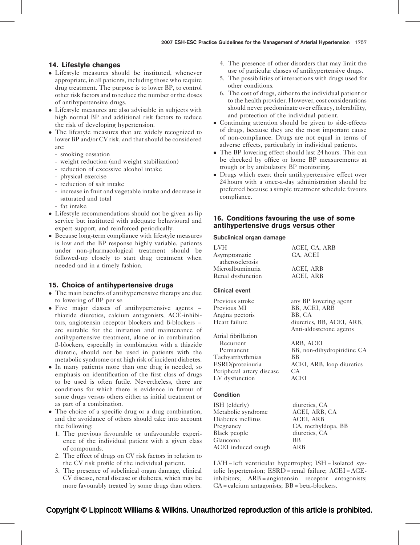### 14. Lifestyle changes

- Lifestyle measures should be instituted, whenever appropriate, in all patients, including those who require drug treatment. The purpose is to lower BP, to control other risk factors and to reduce the number or the doses of antihypertensive drugs.
- Lifestyle measures are also advisable in subjects with high normal BP and additional risk factors to reduce the risk of developing hypertension.
- The lifestyle measures that are widely recognized to lower BP and/or CV risk, and that should be considered are:
	- smoking cessation
	- weight reduction (and weight stabilization)
	- reduction of excessive alcohol intake
	- physical exercise
	- reduction of salt intake
	- increase in fruit and vegetable intake and decrease in saturated and total
	- fat intake
- Lifestyle recommendations should not be given as lip service but instituted with adequate behavioural and expert support, and reinforced periodically.
- Because long-term compliance with lifestyle measures is low and the BP response highly variable, patients under non-pharmacological treatment should be followed-up closely to start drug treatment when needed and in a timely fashion.

#### 15. Choice of antihypertensive drugs

- The main benefits of antihypertensive therapy are due to lowering of BP per se
- Five major classes of antihypertensive agents thiazide diuretics, calcium antagonists, ACE-inhibitors, angiotensin receptor blockers and ß-blockers – are suitable for the initiation and maintenance of antihypertensive treatment, alone or in combination. ß-blockers, especially in combination with a thiazide diuretic, should not be used in patients with the metabolic syndrome or at high risk of incident diabetes.
- In many patients more than one drug is needed, so emphasis on identification of the first class of drugs to be used is often futile. Nevertheless, there are conditions for which there is evidence in favour of some drugs versus others either as initial treatment or as part of a combination.
- The choice of a specific drug or a drug combination, and the avoidance of others should take into account the following:
	- 1. The previous favourable or unfavourable experience of the individual patient with a given class of compounds.
	- 2. The effect of drugs on CV risk factors in relation to the CV risk profile of the individual patient.
	- 3. The presence of subclinical organ damage, clinical CV disease, renal disease or diabetes, which may be more favourably treated by some drugs than others.
- 4. The presence of other disorders that may limit the use of particular classes of antihypertensive drugs.
- 5. The possibilities of interactions with drugs used for other conditions.
- 6. The cost of drugs, either to the individual patient or to the health provider. However, cost considerations should never predominate over efficacy, tolerability, and protection of the individual patient.
- Continuing attention should be given to side-effects of drugs, because they are the most important cause of non-compliance. Drugs are not equal in terms of adverse effects, particularly in individual patients.
- The BP lowering effect should last 24 hours. This can be checked by office or home BP measurements at trough or by ambulatory BP monitoring.
- Drugs which exert their antihypertensive effect over 24 hours with a once-a-day administration should be preferred because a simple treatment schedule favours compliance.

### 16. Conditions favouring the use of some antihypertensive drugs versus other

#### Subclinical organ damage

| LVH                                   | ACEI, CA, ARB          |
|---------------------------------------|------------------------|
| Asymptomatic<br>atherosclerosis       | CA, ACEI               |
| Microalbuminuria<br>Renal dysfunction | ACEI, ARB<br>ACEI, ARB |
|                                       |                        |

#### Clinical event

| Previous stroke | any BP lowering agent     |
|-----------------|---------------------------|
| Previous MI     | <b>BB. ACEI. ARB</b>      |
| Angina pectoris | BB. CA                    |
| Heart failure   | diuretics, BB, ACEI, ARB, |
|                 | Anti-aldosterone agents   |

Atrial fibrillation Recurrent ARB, ACEI Permanent BB, non-dihydropiridine CA Tachyarrhythmias BB ESRD/proteinuria ACEI, ARB, loop diuretics Peripheral artery disease CA LV dysfunction ACEI

### Condition

| ISH (elderly)      | diuretics, CA      |
|--------------------|--------------------|
| Metabolic syndrome | ACEI, ARB, CA      |
| Diabetes mellitus  | ACEI, ARB          |
| Pregnancy          | CA, methyldopa, BB |
| Black people       | diuretics, CA      |
| Glaucoma           | <b>BB</b>          |
| ACEI induced cough | ARB                |
|                    |                    |

LVH = left ventricular hypertrophy; ISH = Isolated systolic hypertension; ESRD = renal failure; ACEI = ACEinhibitors; ARB = angiotensin receptor antagonists;  $CA = calcium$  antagonists;  $BB = beta - blockers$ .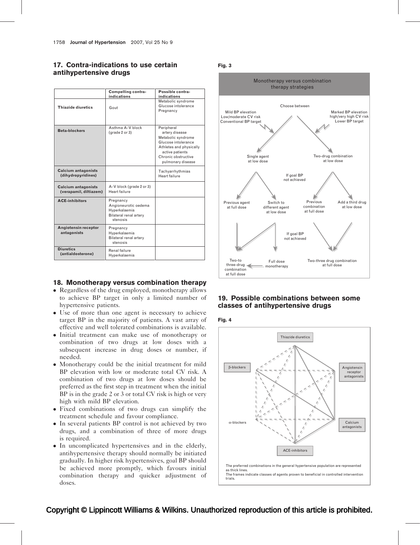### 17. Contra-indications to use certain antihypertensive drugs

|                                                      | Compelling contra-<br>indications                                                               | Possible contra-<br>indications                                                                                                                                     |
|------------------------------------------------------|-------------------------------------------------------------------------------------------------|---------------------------------------------------------------------------------------------------------------------------------------------------------------------|
| <b>Thiazide diuretics</b>                            | Gout                                                                                            | Metabolic syndrome<br>Glucose intolerance<br>Pregnancy                                                                                                              |
| <b>Beta-blockers</b>                                 | Asthma A-V block<br>(grade 2 or 3)                                                              | Peripheral<br>artery disease<br>Metabolic syndrome<br>Glucose intolerance<br>Athletes and physically<br>active patients<br>Chronic obstructive<br>pulmonary disease |
| <b>Calcium antagonists</b><br>(dihydropyridines)     |                                                                                                 | Tachyarrhythmias<br>Heart failure                                                                                                                                   |
| <b>Calcium antagonists</b><br>(verapamil, diltiazem) | A-V block (grade 2 or 3)<br>Heart failure                                                       |                                                                                                                                                                     |
| <b>ACE-inhibitors</b>                                | Pregnancy<br>Angioneurotic oedema<br>Hyperkalaemia<br><b>Bilateral renal artery</b><br>stenosis |                                                                                                                                                                     |
| Angiotensin receptor<br>antagonists                  | Pregnancy<br>Hyperkalaemia<br><b>Bilateral renal artery</b><br>stenosis                         |                                                                                                                                                                     |
| <b>Diuretics</b><br>(antialdosterone)                | Renal failure<br>Hyperkalaemia                                                                  |                                                                                                                                                                     |

### 18. Monotherapy versus combination therapy

- Regardless of the drug employed, monotherapy allows to achieve BP target in only a limited number of hypertensive patients.
- Use of more than one agent is necessary to achieve target BP in the majority of patients. A vast array of effective and well tolerated combinations is available.
- Initial treatment can make use of monotherapy or combination of two drugs at low doses with a subsequent increase in drug doses or number, if needed.
- Monotherapy could be the initial treatment for mild BP elevation with low or moderate total CV risk. A combination of two drugs at low doses should be preferred as the first step in treatment when the initial BP is in the grade 2 or 3 or total CV risk is high or very high with mild BP elevation.
- Fixed combinations of two drugs can simplify the treatment schedule and favour compliance.
- In several patients BP control is not achieved by two drugs, and a combination of three of more drugs is required.
- In uncomplicated hypertensives and in the elderly, antihypertensive therapy should normally be initiated gradually. In higher risk hypertensives, goal BP should be achieved more promptly, which favours initial combination therapy and quicker adjustment of doses.

#### Fig. 3



### 19. Possible combinations between some classes of antihypertensive drugs

Fig. 4

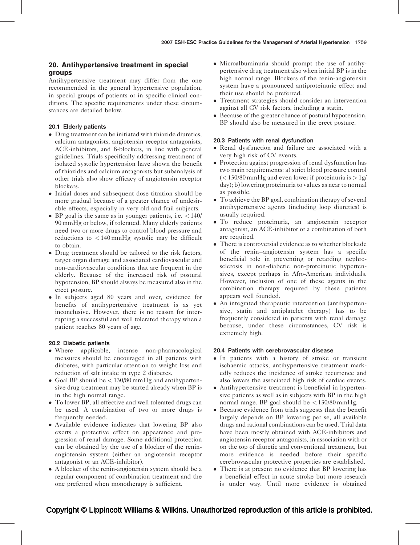### 20. Antihypertensive treatment in special groups

Antihypertensive treatment may differ from the one recommended in the general hypertensive population, in special groups of patients or in specific clinical conditions. The specific requirements under these circumstances are detailed below.

### 20.1 Elderly patients

- Drug treatment can be initiated with thiazide diuretics, calcium antagonists, angiotensin receptor antagonists, ACE-inhibitors, and ß-blockers, in line with general guidelines. Trials specifically addressing treatment of isolated systolic hypertension have shown the benefit of thiazides and calcium antagonists but subanalysis of other trials also show efficacy of angiotensin receptor blockers.
- Initial doses and subsequent dose titration should be more gradual because of a greater chance of undesirable effects, especially in very old and frail subjects.
- BP goal is the same as in younger patients, i.e.  $\lt$  140/ 90 mmHg or below, if tolerated. Many elderly patients need two or more drugs to control blood pressure and reductions to  $\langle 140 \text{ mmHg}$  systolic may be difficult to obtain.
- Drug treatment should be tailored to the risk factors, target organ damage and associated cardiovascular and non-cardiovascular conditions that are frequent in the elderly. Because of the increased risk of postural hypotension, BP should always be measured also in the erect posture.
- In subjects aged 80 years and over, evidence for benefits of antihypertensive treatment is as yet inconclusive. However, there is no reason for interrupting a successful and well tolerated therapy when a patient reaches 80 years of age.

### 20.2 Diabetic patients

- Where applicable, intense non-pharmacological measures should be encouraged in all patients with diabetes, with particular attention to weight loss and reduction of salt intake in type 2 diabetes.
- Goal BP should be < 130/80 mmHg and antihypertensive drug treatment may be started already when BP is in the high normal range.
- To lower BP, all effective and well tolerated drugs can be used. A combination of two or more drugs is frequently needed.
- Available evidence indicates that lowering BP also exerts a protective effect on appearance and progression of renal damage. Some additional protection can be obtained by the use of a blocker of the reninangiotensin system (either an angiotensin receptor antagonist or an ACE-inhibitor).
- A blocker of the renin-angiotensin system should be a regular component of combination treatment and the one preferred when monotherapy is sufficient.
- Microalbuminuria should prompt the use of antihypertensive drug treatment also when initial BP is in the high normal range. Blockers of the renin-angiotensin system have a pronounced antiproteinuric effect and their use should be preferred.
- Treatment strategies should consider an intervention against all CV risk factors, including a statin.
- $\bullet$  Because of the greater chance of postural hypotension, BP should also be measured in the erect posture.

### 20.3 Patients with renal dysfunction

- Renal dysfunction and failure are associated with a very high risk of CV events.
- $\bullet$  Protection against progression of renal dysfunction has two main requirements: a) strict blood pressure control  $\ll$  130/80 mmHg and even lower if proteinuria is  $> 1$ g/ day); b) lowering proteinuria to values as near to normal as possible.
- To achieve the BP goal, combination therapy of several antihypertensive agents (including loop diuretics) is usually required.
- To reduce proteinuria, an angiotensin receptor antagonist, an ACE-inhibitor or a combination of both are required.
- There is controversial evidence as to whether blockade of the renin–angiotensin system has a specific beneficial role in preventing or retarding nephrosclerosis in non-diabetic non-proteinuric hypertensives, except perhaps in Afro-American individuals. However, inclusion of one of these agents in the combination therapy required by these patients appears well founded.
- An integrated therapeutic intervention (antihypertensive, statin and antiplatelet therapy) has to be frequently considered in patients with renal damage because, under these circumstances, CV risk is extremely high.

### 20.4 Patients with cerebrovascular disease

- In patients with a history of stroke or transient ischaemic attacks, antihypertensive treatment markedly reduces the incidence of stroke recurrence and also lowers the associated high risk of cardiac events.
- Antihypertensive treatment is beneficial in hypertensive patients as well as in subjects with BP in the high normal range. BP goal should be  $\langle 130/80 \text{ mm}$ Hg.
- Because evidence from trials suggests that the benefit largely depends on BP lowering per se, all available drugs and rational combinations can be used. Trial data have been mostly obtained with ACE-inhibitors and angiotensin receptor antagonists, in association with or on the top of diuretic and conventional treatment, but more evidence is needed before their specific cerebrovascular protective properties are established.
- There is at present no evidence that BP lowering has a beneficial effect in acute stroke but more research is under way. Until more evidence is obtained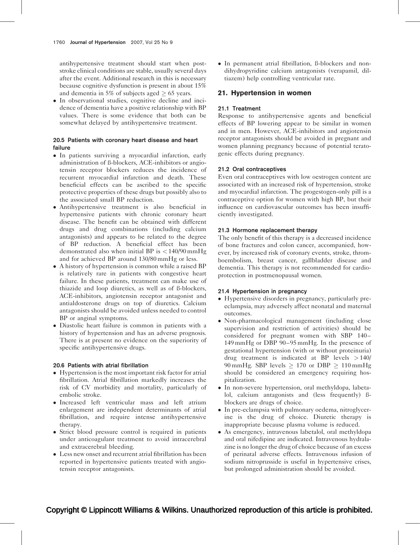antihypertensive treatment should start when poststroke clinical conditions are stable, usually several days after the event. Additional research in this is necessary because cognitive dysfunction is present in about 15% and dementia in 5% of subjects aged  $\geq$  65 years.

- In observational studies, cognitive decline and incidence of dementia have a positive relationship with BP values. There is some evidence that both can be somewhat delayed by antihypertensive treatment.

### 20.5 Patients with coronary heart disease and heart failure

- In patients surviving a myocardial infarction, early administration of ß-blockers, ACE-inhibitors or angiotensin receptor blockers reduces the incidence of recurrent myocardial infarction and death. These beneficial effects can be ascribed to the specific protective properties of these drugs but possibly also to the associated small BP reduction.
- Antihypertensive treatment is also beneficial in hypertensive patients with chronic coronary heart disease. The benefit can be obtained with different drugs and drug combinations (including calcium antagonists) and appears to be related to the degree of BP reduction. A beneficial effect has been demonstrated also when initial BP is  $<$  140/90 mmHg and for achieved BP around 130/80 mmHg or less.
- A history of hypertension is common while a raised BP is relatively rare in patients with congestive heart failure. In these patients, treatment can make use of thiazide and loop diuretics, as well as of ß-blockers, ACE-inhibitors, angiotensin receptor antagonist and antialdosterone drugs on top of diuretics. Calcium antagonists should be avoided unless needed to control BP or anginal symptoms.
- Diastolic heart failure is common in patients with a history of hypertension and has an adverse prognosis. There is at present no evidence on the superiority of specific antihypertensive drugs.

### 20.6 Patients with atrial fibrillation

- Hypertension is the most important risk factor for atrial fibrillation. Atrial fibrillation markedly increases the risk of CV morbidity and mortality, particularly of embolic stroke.
- Increased left ventricular mass and left atrium enlargement are independent determinants of atrial fibrillation, and require intense antihypertensive therapy.
- Strict blood pressure control is required in patients under anticoagulant treatment to avoid intracerebral and extracerebral bleeding.
- Less new onset and recurrent atrial fibrillation has been reported in hypertensive patients treated with angiotensin receptor antagonists.

- In permanent atrial fibrillation, ß-blockers and nondihydropyridine calcium antagonists (verapamil, diltiazem) help controlling ventricular rate.

### 21. Hypertension in women

### 21.1 Treatment

Response to antihypertensive agents and beneficial effects of BP lowering appear to be similar in women and in men. However, ACE-inhibitors and angiotensin receptor antagonists should be avoided in pregnant and women planning pregnancy because of potential teratogenic effects during pregnancy.

### 21.2 Oral contraceptives

Even oral contraceptives with low oestrogen content are associated with an increased risk of hypertension, stroke and myocardial infarction. The progestogen-only pill is a contraceptive option for women with high BP, but their influence on cardiovascular outcomes has been insufficiently investigated.

### 21.3 Hormone replacement therapy

The only benefit of this therapy is a decreased incidence of bone fractures and colon cancer, accompanied, however, by increased risk of coronary events, stroke, thromboembolism, breast cancer, gallbladder disease and dementia. This therapy is not recommended for cardioprotection in postmenopausal women.

### 21.4 Hypertension in pregnancy

- Hypertensive disorders in pregnancy, particularly preeclampsia, may adversely affect neonatal and maternal outcomes.
- Non-pharmacological management (including close supervision and restriction of activities) should be considered for pregnant women with SBP 140– 149 mmHg or DBP 90–95 mmHg. In the presence of gestational hypertension (with or without proteinuria) drug treatment is indicated at BP levels  $>140/$ 90 mmHg. SBP levels  $\geq$  170 or DBP  $\geq$  110 mmHg should be considered an emergency requiring hospitalization.
- In non-severe hypertension, oral methyldopa, labetalol, calcium antagonists and (less frequently) ßblockers are drugs of choice.
- In pre-eclampsia with pulmonary oedema, nitroglycerine is the drug of choice. Diuretic therapy is inappropriate because plasma volume is reduced.
- As emergency, intravenous labetalol, oral methyldopa and oral nifedipine are indicated. Intravenous hydralazine is no longer the drug of choice because of an excess of perinatal adverse effects. Intravenous infusion of sodium nitroprusside is useful in hypertensive crises, but prolonged administration should be avoided.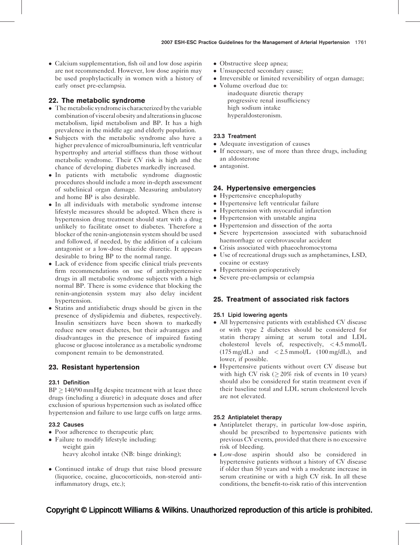- Calcium supplementation, fish oil and low dose aspirin are not recommended. However, low dose aspirin may be used prophylactically in women with a history of early onset pre-eclampsia.

### 22. The metabolic syndrome

- The metabolic syndrome is characterized by the variable combinationof visceral obesity andalterationsin glucose metabolism, lipid metabolism and BP. It has a high prevalence in the middle age and elderly population.
- Subjects with the metabolic syndrome also have a higher prevalence of microalbuminuria, left ventricular hypertrophy and arterial stiffness than those without metabolic syndrome. Their CV risk is high and the chance of developing diabetes markedly increased.
- In patients with metabolic syndrome diagnostic procedures should include a more in-depth assessment of subclinical organ damage. Measuring ambulatory and home BP is also desirable.
- In all individuals with metabolic syndrome intense lifestyle measures should be adopted. When there is hypertension drug treatment should start with a drug unlikely to facilitate onset to diabetes. Therefore a blocker of the renin-angiotensin system should be used and followed, if needed, by the addition of a calcium antagonist or a low-dose thiazide diuretic. It appears desirable to bring BP to the normal range.
- Lack of evidence from specific clinical trials prevents firm recommendations on use of antihypertensive drugs in all metabolic syndrome subjects with a high normal BP. There is some evidence that blocking the renin-angiotensin system may also delay incident hypertension.
- Statins and antidiabetic drugs should be given in the presence of dyslipidemia and diabetes, respectively. Insulin sensitizers have been shown to markedly reduce new onset diabetes, but their advantages and disadvantages in the presence of impaired fasting glucose or glucose intolerance as a metabolic syndrome component remain to be demonstrated.

### 23. Resistant hypertension

#### 23.1 Definition

 $BP \ge 140/90$  mmHg despite treatment with at least three drugs (including a diuretic) in adequate doses and after exclusion of spurious hypertension such as isolated office hypertension and failure to use large cuffs on large arms.

### 23.2 Causes

- Poor adherence to therapeutic plan;
- Failure to modify lifestyle including: weight gain heavy alcohol intake (NB: binge drinking);
- Continued intake of drugs that raise blood pressure (liquorice, cocaine, glucocorticoids, non-steroid antiinflammatory drugs, etc.);
- Obstructive sleep apnea;
- Unsuspected secondary cause;
- Irreversible or limited reversibility of organ damage;
- Volume overload due to: inadequate diuretic therapy progressive renal insufficiency high sodium intake hyperaldosteronism.

### 23.3 Treatment

- Adequate investigation of causes
- If necessary, use of more than three drugs, including an aldosterone
- antagonist.

### 24. Hypertensive emergencies

- Hypertensive encephalopathy
- Hypertensive left ventricular failure
- Hypertension with myocardial infarction
- Hypertension with unstable angina
- Hypertension and dissection of the aorta
- Severe hypertension associated with subarachnoid haemorrhage or cerebrovascular accident
- Crisis associated with phaeochromocytoma
- Use of recreational drugs such as amphetamines, LSD, cocaine or ecstasy
- Hypertension perioperatively
- Severe pre-eclampsia or eclampsia

### 25. Treatment of associated risk factors

#### 25.1 Lipid lowering agents

- All hypertensive patients with established CV disease or with type 2 diabetes should be considered for statin therapy aiming at serum total and LDL cholesterol levels of, respectively,  $\langle 4.5 \text{ mmol/L} \rangle$  $(175 \text{ mg/dL})$  and  $\langle 2.5 \text{ mmol/L}$   $(100 \text{ mg/dL})$ , and lower, if possible.
- Hypertensive patients without overt CV disease but with high CV risk  $($  > 20% risk of events in 10 years) should also be considered for statin treatment even if their baseline total and LDL serum cholesterol levels are not elevated.

### 25.2 Antiplatelet therapy

- Antiplatelet therapy, in particular low-dose aspirin, should be prescribed to hypertensive patients with previous CV events, provided that there is no excessive risk of bleeding.
- Low-dose aspirin should also be considered in hypertensive patients without a history of CV disease if older than 50 years and with a moderate increase in serum creatinine or with a high CV risk. In all these conditions, the benefit-to-risk ratio of this intervention